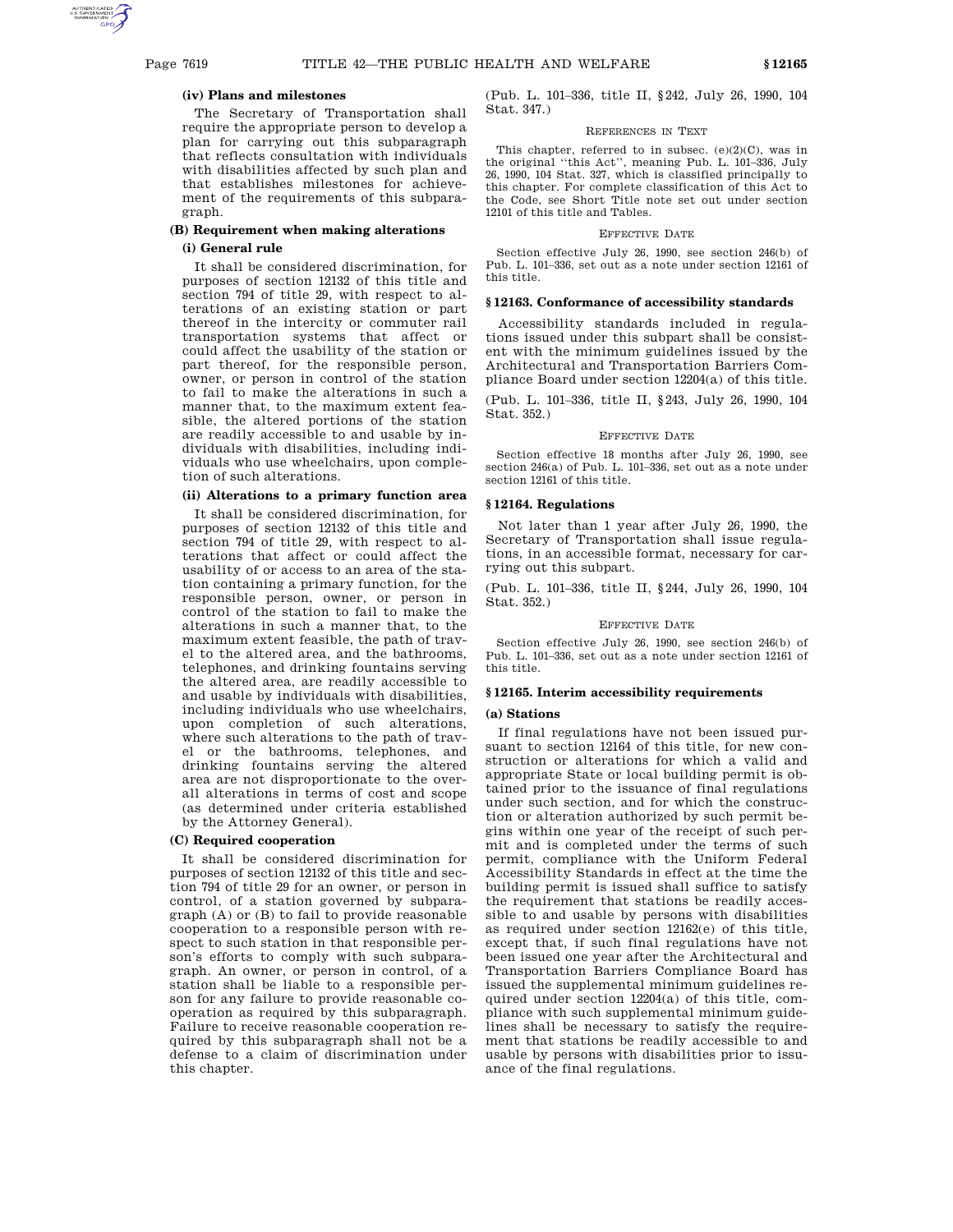## **(iv) Plans and milestones**

The Secretary of Transportation shall require the appropriate person to develop a plan for carrying out this subparagraph that reflects consultation with individuals with disabilities affected by such plan and that establishes milestones for achievement of the requirements of this subparagraph.

# **(B) Requirement when making alterations**

## **(i) General rule**

It shall be considered discrimination, for purposes of section 12132 of this title and section 794 of title 29, with respect to alterations of an existing station or part thereof in the intercity or commuter rail transportation systems that affect or could affect the usability of the station or part thereof, for the responsible person, owner, or person in control of the station to fail to make the alterations in such a manner that, to the maximum extent feasible, the altered portions of the station are readily accessible to and usable by individuals with disabilities, including individuals who use wheelchairs, upon completion of such alterations.

## **(ii) Alterations to a primary function area**

It shall be considered discrimination, for purposes of section 12132 of this title and section 794 of title 29, with respect to alterations that affect or could affect the usability of or access to an area of the station containing a primary function, for the responsible person, owner, or person in control of the station to fail to make the alterations in such a manner that, to the maximum extent feasible, the path of travel to the altered area, and the bathrooms, telephones, and drinking fountains serving the altered area, are readily accessible to and usable by individuals with disabilities, including individuals who use wheelchairs, upon completion of such alterations, where such alterations to the path of travel or the bathrooms, telephones, and drinking fountains serving the altered area are not disproportionate to the overall alterations in terms of cost and scope (as determined under criteria established by the Attorney General).

## **(C) Required cooperation**

It shall be considered discrimination for purposes of section 12132 of this title and section 794 of title 29 for an owner, or person in control, of a station governed by subparagraph (A) or (B) to fail to provide reasonable cooperation to a responsible person with respect to such station in that responsible person's efforts to comply with such subparagraph. An owner, or person in control, of a station shall be liable to a responsible person for any failure to provide reasonable cooperation as required by this subparagraph. Failure to receive reasonable cooperation required by this subparagraph shall not be a defense to a claim of discrimination under this chapter.

(Pub. L. 101–336, title II, §242, July 26, 1990, 104 Stat. 347.)

### REFERENCES IN TEXT

This chapter, referred to in subsec. (e)(2)(C), was in the original ''this Act'', meaning Pub. L. 101–336, July 26, 1990, 104 Stat. 327, which is classified principally to this chapter. For complete classification of this Act to the Code, see Short Title note set out under section 12101 of this title and Tables.

### EFFECTIVE DATE

Section effective July 26, 1990, see section 246(b) of Pub. L. 101–336, set out as a note under section 12161 of this title.

### **§ 12163. Conformance of accessibility standards**

Accessibility standards included in regulations issued under this subpart shall be consistent with the minimum guidelines issued by the Architectural and Transportation Barriers Compliance Board under section 12204(a) of this title.

(Pub. L. 101–336, title II, §243, July 26, 1990, 104 Stat. 352.)

#### EFFECTIVE DATE

Section effective 18 months after July 26, 1990, see section 246(a) of Pub. L. 101–336, set out as a note under section 12161 of this title.

# **§ 12164. Regulations**

Not later than 1 year after July 26, 1990, the Secretary of Transportation shall issue regulations, in an accessible format, necessary for carrying out this subpart.

(Pub. L. 101–336, title II, §244, July 26, 1990, 104 Stat. 352.)

### EFFECTIVE DATE

Section effective July 26, 1990, see section 246(b) of Pub. L. 101–336, set out as a note under section 12161 of this title.

## **§ 12165. Interim accessibility requirements**

# **(a) Stations**

If final regulations have not been issued pursuant to section 12164 of this title, for new construction or alterations for which a valid and appropriate State or local building permit is obtained prior to the issuance of final regulations under such section, and for which the construction or alteration authorized by such permit begins within one year of the receipt of such permit and is completed under the terms of such permit, compliance with the Uniform Federal Accessibility Standards in effect at the time the building permit is issued shall suffice to satisfy the requirement that stations be readily accessible to and usable by persons with disabilities as required under section 12162(e) of this title, except that, if such final regulations have not been issued one year after the Architectural and Transportation Barriers Compliance Board has issued the supplemental minimum guidelines required under section 12204(a) of this title, compliance with such supplemental minimum guidelines shall be necessary to satisfy the requirement that stations be readily accessible to and usable by persons with disabilities prior to issuance of the final regulations.